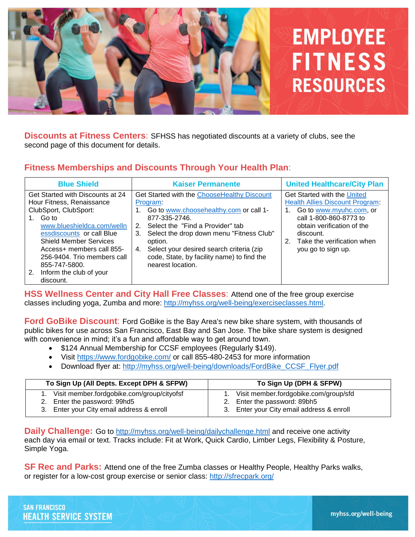

**Discounts at Fitness Centers**: SFHSS has negotiated discounts at a variety of clubs, see the second page of this document for details.

# **Fitness Memberships and Discounts Through Your Health Plan**:

| <b>Blue Shield</b>                                                                                                                                                                                                                                                                                                        | <b>Kaiser Permanente</b>                                                                                                                                                                                                                                                                                                                       | <b>United Healthcare/City Plan</b>                                                                                                                                                                                              |
|---------------------------------------------------------------------------------------------------------------------------------------------------------------------------------------------------------------------------------------------------------------------------------------------------------------------------|------------------------------------------------------------------------------------------------------------------------------------------------------------------------------------------------------------------------------------------------------------------------------------------------------------------------------------------------|---------------------------------------------------------------------------------------------------------------------------------------------------------------------------------------------------------------------------------|
| Get Started with Discounts at 24<br>Hour Fitness, Renaissance<br>ClubSport, ClubSport:<br>1. Go to<br>www.blueshieldca.com/welln<br>essdiscounts or call Blue<br><b>Shield Member Services</b><br>Access+ members call 855-<br>256-9404. Trio members call<br>855-747-5800.<br>Inform the club of your<br>2.<br>discount. | Get Started with the ChooseHealthy Discount<br>Program:<br>1. Go to www.choosehealthy.com or call 1-<br>877-335-2746.<br>Select the "Find a Provider" tab<br>2.<br>Select the drop down menu "Fitness Club"<br>3.<br>option.<br>4. Select your desired search criteria (zip<br>code, State, by facility name) to find the<br>nearest location. | Get Started with the United<br><b>Health Allies Discount Program:</b><br>Go to www.myuhc.com, or<br>call 1-800-860-8773 to<br>obtain verification of the<br>discount.<br>Take the verification when<br>2.<br>you go to sign up. |

**HSS Wellness Center and City Hall Free Classes**: Attend one of the free group exercise classes including yoga, Zumba and more: [http://myhss.org/well-being/exerciseclasses.html.](http://myhss.org/well-being/exerciseclasses.html)

**Ford GoBike Discount**: Ford GoBike is the Bay Area's new bike share system, with thousands of public bikes for use across San Francisco, East Bay and San Jose. The bike share system is designed with convenience in mind; it's a fun and affordable way to get around town.

- \$124 Annual Membership for CCSF employees (Regularly \$149).
- Visit <https://www.fordgobike.com/> or call 855-480-2453 for more information
- Download flyer at: [http://myhss.org/well-being/downloads/FordBike\\_CCSF\\_Flyer.pdf](http://myhss.org/well-being/downloads/FordBike_CCSF_Flyer.pdf)

| To Sign Up (All Depts. Except DPH & SFPW)  | To Sign Up (DPH & SFPW)                   |  |  |
|--------------------------------------------|-------------------------------------------|--|--|
| Visit member.fordgobike.com/group/cityofsf | Visit member.fordgobike.com/group/sfd     |  |  |
| 2. Enter the password: 99hd5               | 2. Enter the password: 89bh5              |  |  |
| 3. Enter your City email address & enroll  | 3. Enter your City email address & enroll |  |  |

**Daily Challenge:** Go to<http://myhss.org/well-being/dailychallenge.html> and receive one activity each day via email or text. Tracks include: Fit at Work, Quick Cardio, Limber Legs, Flexibility & Posture, Simple Yoga.

**SF Rec and Parks:** Attend one of the free Zumba classes or Healthy People, Healthy Parks walks, or register for a low-cost group exercise or senior class:<http://sfrecpark.org/>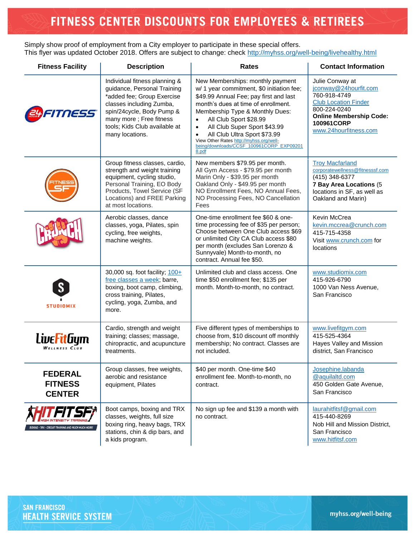# FITNESS CENTER DISCOUNTS FOR EMPLOYEES & RETIREES

Simply show proof of employment from a City employer to participate in these special offers. This flyer was updated October 2018. Offers are subject to change: check<http://myhss.org/well-being/livehealthy.html>

| <b>Fitness Facility</b>                            | <b>Description</b>                                                                                                                                                                                                                 | <b>Rates</b>                                                                                                                                                                                                                                                                                                                                                                                | <b>Contact Information</b>                                                                                                                                                       |
|----------------------------------------------------|------------------------------------------------------------------------------------------------------------------------------------------------------------------------------------------------------------------------------------|---------------------------------------------------------------------------------------------------------------------------------------------------------------------------------------------------------------------------------------------------------------------------------------------------------------------------------------------------------------------------------------------|----------------------------------------------------------------------------------------------------------------------------------------------------------------------------------|
| NESS                                               | Individual fitness planning &<br>guidance, Personal Training<br>*added fee; Group Exercise<br>classes including Zumba,<br>spin/24cycle, Body Pump &<br>many more; Free fitness<br>tools; Kids Club available at<br>many locations. | New Memberships: monthly payment<br>w/ 1 year commitment, \$0 initiation fee;<br>\$49.99 Annual Fee; pay first and last<br>month's dues at time of enrollment.<br>Membership Type & Monthly Dues:<br>All Club Sport \$28.99<br>All Club Super Sport \$43.99<br>All Club Ultra Sport \$73.99<br>View Other Rates http://myhss.org/well-<br>being/downloads/CCSF 100961CORP EXP09201<br>8.pdf | Julie Conway at<br>jconway@24hourfit.com<br>760-918-4749<br><b>Club Location Finder</b><br>800-224-0240<br><b>Online Membership Code:</b><br>100961CORP<br>www.24hourfitness.com |
|                                                    | Group fitness classes, cardio,<br>strength and weight training<br>equipment, cycling studio,<br>Personal Training, EO Body<br>Products, Towel Service (SF<br>Locations) and FREE Parking<br>at most locations.                     | New members \$79.95 per month.<br>All Gym Access - \$79.95 per month<br>Marin Only - \$39.95 per month<br>Oakland Only - \$49.95 per month<br>NO Enrollment Fees, NO Annual Fees,<br>NO Processing Fees, NO Cancellation<br>Fees                                                                                                                                                            | <b>Troy Macfarland</b><br>corporatewellness@fitnesssf.com<br>(415) 348-6377<br>7 Bay Area Locations (5<br>locations in SF, as well as<br>Oakland and Marin)                      |
|                                                    | Aerobic classes, dance<br>classes, yoga, Pilates, spin<br>cycling, free weights,<br>machine weights.                                                                                                                               | One-time enrollment fee \$60 & one-<br>time processing fee of \$35 per person;<br>Choose between One Club access \$69<br>or unlimited City CA Club access \$80<br>per month (excludes San Lorenzo &<br>Sunnyvale) Month-to-month, no<br>contract. Annual fee \$50.                                                                                                                          | Kevin McCrea<br>kevin.mccrea@crunch.com<br>415-715-4358<br>Visit www.crunch.com for<br>locations                                                                                 |
| <b>STUDIOMIX</b>                                   | 30,000 sq. foot facility; 100+<br>free classes a week; barre,<br>boxing, boot camp, climbing,<br>cross training, Pilates,<br>cycling, yoga, Zumba, and<br>more.                                                                    | Unlimited club and class access. One<br>time \$50 enrollment fee; \$135 per<br>month. Month-to-month, no contract.                                                                                                                                                                                                                                                                          | www.studiomix.com<br>415-926-6790<br>1000 Van Ness Avenue,<br>San Francisco                                                                                                      |
| LiveFitGym<br>WELLNESS CLUB                        | Cardio, strength and weight<br>training; classes; massage,<br>chiropractic, and acupuncture<br>treatments.                                                                                                                         | Five different types of memberships to<br>choose from, \$10 discount off monthly<br>membership; No contract. Classes are<br>not included.                                                                                                                                                                                                                                                   | www.livefitgym.com<br>415-525-4364<br>Hayes Valley and Mission<br>district, San Francisco                                                                                        |
| <b>FEDERAL</b><br><b>FITNESS</b><br><b>CENTER</b>  | Group classes, free weights,<br>aerobic and resistance<br>equipment, Pilates                                                                                                                                                       | \$40 per month. One-time \$40<br>enrollment fee. Month-to-month, no<br>contract.                                                                                                                                                                                                                                                                                                            | Josephine.labanda<br>@aquilaltd.com<br>450 Golden Gate Avenue,<br>San Francisco                                                                                                  |
| OXING - TRX - CIRCUIT TRAINING AND MUCH MUCH MORE! | Boot camps, boxing and TRX<br>classes, weights, full size<br>boxing ring, heavy bags, TRX<br>stations, chin & dip bars, and<br>a kids program.                                                                                     | No sign up fee and \$139 a month with<br>no contract.                                                                                                                                                                                                                                                                                                                                       | laurahitfitsf@gmail.com<br>415-440-8269<br>Nob Hill and Mission District,<br>San Francisco<br>www.hitfitsf.com                                                                   |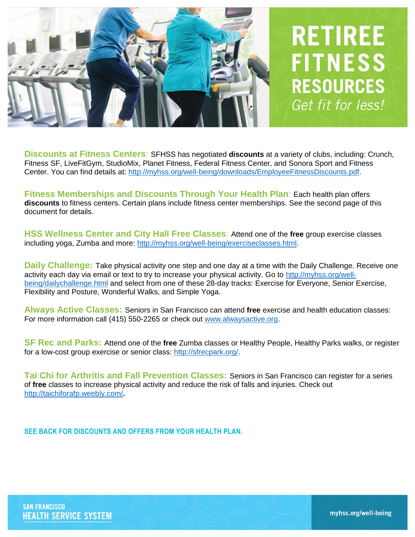

**Discounts at Fitness Centers**: SFHSS has negotiated **discounts** at a variety of clubs, including: Crunch, Fitness SF, LiveFitGym, StudioMix, Planet Fitness, Federal Fitness Center, and Sonora Sport and Fitness Center. You can find details at: [http://myhss.org/well-being/downloads/EmployeeFitnessDiscounts.pdf.](http://myhss.org/well-being/downloads/EmployeeFitnessDiscounts.pdf)

**Fitness Memberships and Discounts Through Your Health Plan**: Each health plan offers **discounts** to fitness centers. Certain plans include fitness center memberships. See the second page of this document for details.

**HSS Wellness Center and City Hall Free Classes**: Attend one of the **free** group exercise classes including yoga, Zumba and more: [http://myhss.org/well-being/exerciseclasses.html.](http://myhss.org/well-being/exerciseclasses.html)

**Daily Challenge:** Take physical activity one step and one day at a time with the Daily Challenge. Receive one activity each day via email or text to try to increase your physical activity. Go to [http://myhss.org/well](http://myhss.org/well-being/dailychallenge.html)[being/dailychallenge.html](http://myhss.org/well-being/dailychallenge.html) and select from one of these 28-day tracks: Exercise for Everyone, Senior Exercise, Flexibility and Posture, Wonderful Walks, and Simple Yoga.

**Always Active Classes:** Seniors in San Francisco can attend **free** exercise and health education classes: For more information call (415) 550-2265 or check out [www.alwaysactive.org.](http://www.alwaysactive.org/)

**SF Rec and Parks:** Attend one of the **free** Zumba classes or Healthy People, Healthy Parks walks, or register for a low-cost group exercise or senior class: [http://sfrecpark.org/.](http://sfrecpark.org/)

**Tai Chi for Arthritis and Fall Prevention Classes:** Seniors in San Francisco can register for a series of **free** classes to increase physical activity and reduce the risk of falls and injuries. Check out <http://taichiforafp.weebly.com/>**.**

**SEE BACK FOR DISCOUNTS AND OFFERS FROM YOUR HEALTH PLAN.**